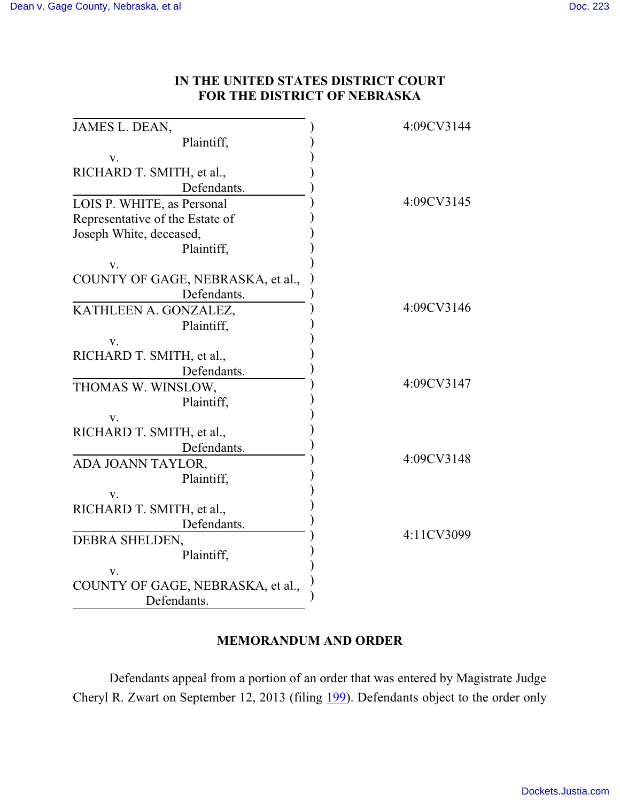## **IN THE UNITED STATES DISTRICT COURT FOR THE DISTRICT OF NEBRASKA**

| JAMES L. DEAN,                    | 4:09CV3144 |
|-----------------------------------|------------|
| Plaintiff,                        |            |
| V.                                |            |
| RICHARD T. SMITH, et al.,         |            |
| Defendants.                       |            |
| LOIS P. WHITE, as Personal        | 4:09CV3145 |
| Representative of the Estate of   |            |
| Joseph White, deceased,           |            |
| Plaintiff,                        |            |
| V.                                |            |
| COUNTY OF GAGE, NEBRASKA, et al., |            |
| Defendants.                       |            |
| KATHLEEN A. GONZALEZ,             | 4:09CV3146 |
| Plaintiff,                        |            |
| V.                                |            |
| RICHARD T. SMITH, et al.,         |            |
| Defendants.                       |            |
| THOMAS W. WINSLOW,                | 4:09CV3147 |
| Plaintiff,                        |            |
| V.                                |            |
| RICHARD T. SMITH, et al.,         |            |
| Defendants.                       |            |
| ADA JOANN TAYLOR,                 | 4:09CV3148 |
| Plaintiff,                        |            |
| V.                                |            |
| RICHARD T. SMITH, et al.,         |            |
| Defendants.                       |            |
| DEBRA SHELDEN,                    | 4:11CV3099 |
| Plaintiff,                        |            |
| V.                                |            |
| COUNTY OF GAGE, NEBRASKA, et al., |            |
| Defendants.                       |            |

## **MEMORANDUM AND ORDER**

Defendants appeal from a portion of an order that was entered by Magistrate Judge Cheryl R. Zwart on September 12, 2013 (filing [199](https://ecf.ned.uscourts.gov/doc1/11312865854)). Defendants object to the order only